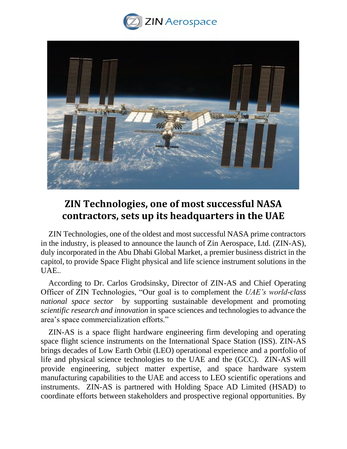



## **ZIN Technologies, one of most successful NASA contractors, sets up its headquarters in the UAE**

ZIN Technologies, one of the oldest and most successful NASA prime contractors in the industry, is pleased to announce the launch of Zin Aerospace, Ltd. (ZIN-AS), duly incorporated in the Abu Dhabi Global Market, a premier business district in the capitol, to provide Space Flight physical and life science instrument solutions in the UAE..

According to Dr. Carlos Grodsinsky, Director of ZIN-AS and Chief Operating Officer of ZIN Technologies, "Our goal is to complement the *UAE's world-class national space sector* by supporting sustainable development and promoting *scientific research and innovation* in space sciences and technologies to advance the area's space commercialization efforts."

ZIN-AS is a space flight hardware engineering firm developing and operating space flight science instruments on the International Space Station (ISS). ZIN-AS brings decades of Low Earth Orbit (LEO) operational experience and a portfolio of life and physical science technologies to the UAE and the (GCC). ZIN-AS will provide engineering, subject matter expertise, and space hardware system manufacturing capabilities to the UAE and access to LEO scientific operations and instruments. ZIN-AS is partnered with Holding Space AD Limited (HSAD) to coordinate efforts between stakeholders and prospective regional opportunities. By